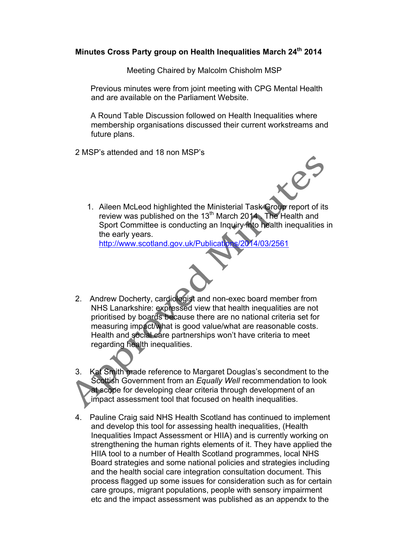## **Minutes Cross Party group on Health Inequalities March 24th 2014**

Meeting Chaired by Malcolm Chisholm MSP

 Previous minutes were from joint meeting with CPG Mental Health and are available on the Parliament Website.

 A Round Table Discussion followed on Health Inequalities where membership organisations discussed their current workstreams and future plans.

2 MSP's attended and 18 non MSP's



1. Aileen McLeod highlighted the Ministerial Task Group report of its review was published on the 13<sup>th</sup> March 2014. The Health and Sport Committee is conducting an Inquiry into health inequalities in the early years.

http://www.scotland.gov.uk/Publications/2014/03/2561

- 2. Andrew Docherty, cardiologist and non-exec board member from NHS Lanarkshire: expressed view that health inequalities are not prioritised by boards because there are no national criteria set for measuring impact/what is good value/what are reasonable costs. Health and social care partnerships won't have criteria to meet regarding health inequalities.
- 3. Kat Smith made reference to Margaret Douglas's secondment to the Scottish Government from an *Equally Well* recommendation to look at scope for developing clear criteria through development of an impact assessment tool that focused on health inequalities.
- 4. Pauline Craig said NHS Health Scotland has continued to implement and develop this tool for assessing health inequalities, (Health Inequalities Impact Assessment or HIIA) and is currently working on strengthening the human rights elements of it. They have applied the HIIA tool to a number of Health Scotland programmes, local NHS Board strategies and some national policies and strategies including and the health social care integration consultation document. This process flagged up some issues for consideration such as for certain care groups, migrant populations, people with sensory impairment etc and the impact assessment was published as an appendx to the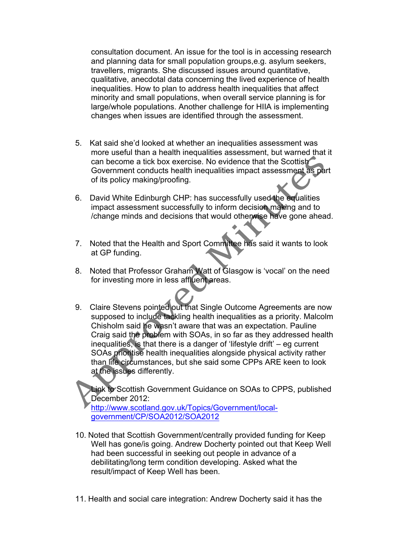consultation document. An issue for the tool is in accessing research and planning data for small population groups,e.g. asylum seekers, travellers, migrants. She discussed issues around quantitative, qualitative, anecdotal data concerning the lived experience of health inequalities. How to plan to address health inequalities that affect minority and small populations, when overall service planning is for large/whole populations. Another challenge for HIIA is implementing changes when issues are identified through the assessment.

- 5. Kat said she'd looked at whether an inequalities assessment was more useful than a health inequalities assessment, but warned that it can become a tick box exercise. No evidence that the Scottish Government conducts health inequalities impact assessment as part of its policy making/proofing.
- 6. David White Edinburgh CHP: has successfully used the equalities impact assessment successfully to inform decision making and to /change minds and decisions that would otherwise have gone ahead.
- 7. Noted that the Health and Sport Committee has said it wants to look at GP funding.
- 8. Noted that Professor Graham Watt of Glasgow is 'vocal' on the need for investing more in less affluent areas.
- 9. Claire Stevens pointed out that Single Outcome Agreements are now supposed to include tackling health inequalities as a priority. Malcolm Chisholm said he wasn't aware that was an expectation. Pauline Craig said the problem with SOAs, in so far as they addressed health inequalities, is that there is a danger of 'lifestyle drift' – eg current SOAs prioritise health inequalities alongside physical activity rather than life circumstances, but she said some CPPs ARE keen to look at the issues differently.

Link to Scottish Government Guidance on SOAs to CPPS, published December 2012:

http://www.scotland.gov.uk/Topics/Government/localgovernment/CP/SOA2012/SOA2012

- 10. Noted that Scottish Government/centrally provided funding for Keep Well has gone/is going. Andrew Docherty pointed out that Keep Well had been successful in seeking out people in advance of a debilitating/long term condition developing. Asked what the result/impact of Keep Well has been.
- 11. Health and social care integration: Andrew Docherty said it has the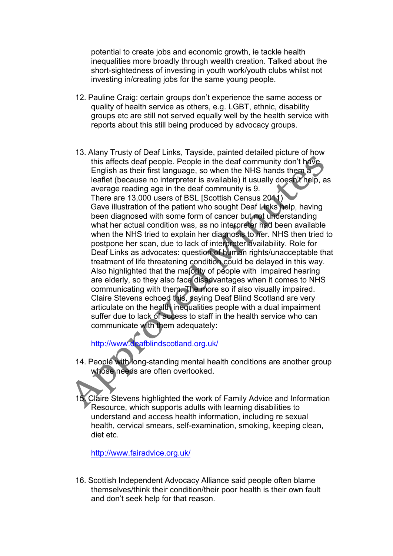potential to create jobs and economic growth, ie tackle health inequalities more broadly through wealth creation. Talked about the short-sightedness of investing in youth work/youth clubs whilst not investing in/creating jobs for the same young people.

- 12. Pauline Craig: certain groups don't experience the same access or quality of health service as others, e.g. LGBT, ethnic, disability groups etc are still not served equally well by the health service with reports about this still being produced by advocacy groups.
- 13. Alany Trusty of Deaf Links, Tayside, painted detailed picture of how this affects deaf people. People in the deaf community don't have English as their first language, so when the NHS hands them a leaflet (because no interpreter is available) it usually doesn't help, as average reading age in the deaf community is 9. There are 13,000 users of BSL [Scottish Census 2011) Gave illustration of the patient who sought Deaf Links help, having been diagnosed with some form of cancer but not understanding what her actual condition was, as no interpreter had been available when the NHS tried to explain her diagnosis to her. NHS then tried to postpone her scan, due to lack of interpreter availability. Role for Deaf Links as advocates: question of human rights/unacceptable that treatment of life threatening condition could be delayed in this way. Also highlighted that the majority of people with impaired hearing are elderly, so they also face disadvantages when it comes to NHS communicating with them. The more so if also visually impaired. Claire Stevens echoed this, saying Deaf Blind Scotland are very articulate on the health inequalities people with a dual impairment suffer due to lack of access to staff in the health service who can communicate with them adequately:

http://www.deafblindscotland.org.uk/

- 14. People with long-standing mental health conditions are another group whose needs are often overlooked.
- 15. Claire Stevens highlighted the work of Family Advice and Information Resource, which supports adults with learning disabilities to understand and access health information, including re sexual health, cervical smears, self-examination, smoking, keeping clean, diet etc.

http://www.fairadvice.org.uk/

16. Scottish Independent Advocacy Alliance said people often blame themselves/think their condition/their poor health is their own fault and don't seek help for that reason.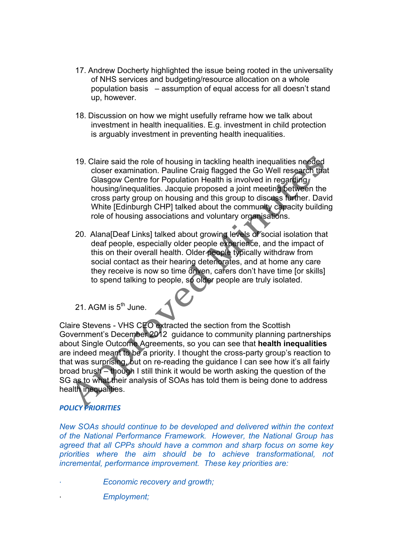- 17. Andrew Docherty highlighted the issue being rooted in the universality of NHS services and budgeting/resource allocation on a whole population basis – assumption of equal access for all doesn't stand up, however.
- 18. Discussion on how we might usefully reframe how we talk about investment in health inequalities. E.g. investment in child protection is arguably investment in preventing health inequalities.
- 19. Claire said the role of housing in tackling health inequalities needed closer examination. Pauline Craig flagged the Go Well research that Glasgow Centre for Population Health is involved in regarding housing/inequalities. Jacquie proposed a joint meeting between the cross party group on housing and this group to discuss further. David White **[Edinburgh CHP]** talked about the community capacity building role of housing associations and voluntary organisations.
- 20. Alana[Deaf Links] talked about growing levels of social isolation that deaf people, especially older people experience, and the impact of this on their overall health. Older people typically withdraw from social contact as their hearing deteriorates, and at home any care they receive is now so time driven, carers don't have time [or skills] to spend talking to people, so older people are truly isolated.
- 21. AGM is  $5^{th}$  June.

Claire Stevens - VHS CEO extracted the section from the Scottish Government's December 2012 guidance to community planning partnerships about Single Outcome Agreements, so you can see that **health inequalities** are indeed meant to be a priority. I thought the cross-party group's reaction to that was surprising, but on re-reading the guidance I can see how it's all fairly broad brush – though I still think it would be worth asking the question of the SG as to what their analysis of SOAs has told them is being done to address health inequalities.

## *POLICY PRIORITIES*

*New SOAs should continue to be developed and delivered within the context of the National Performance Framework. However, the National Group has agreed that all CPPs should have a common and sharp focus on some key priorities where the aim should be to achieve transformational, not incremental, performance improvement. These key priorities are:*

- · *Economic recovery and growth;*
	- · *Employment;*